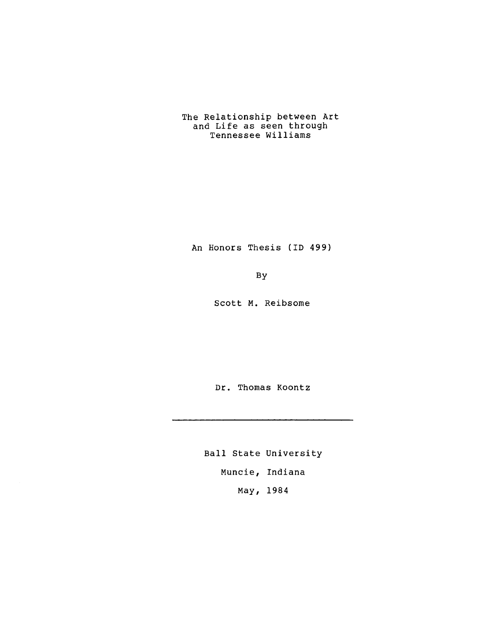# The Relationship between Art and Life as seen through Tennessee Williams

An Honors Thesis (ID 499)

By

Scott M. Reibsome

Dr. Thomas Koontz

Ball State University Muncie, Indiana May, 1984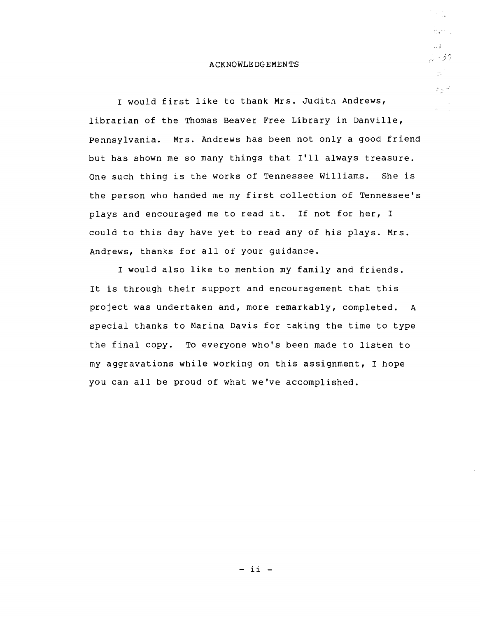## ACKNOWLEDGEMENTS

*i* ... 2. 第二 م و بار<br>1977 - ال  $\frac{1}{2\pi}\frac{d^2\phi}{d\phi^2}$ 

المحايياتي

 $\hat{\rho}_{\rm{c}}$  ,  $\hat{\gamma}_{\rm{c}}$  ,  $\hat{\rho}_{\rm{c}}$ 

I would first like to thank Mrs. Judith Andrews, librarian of the Thomas Beaver Free Library in Danville, pennsylvania. Mrs. Andrews has been not only a good friend but has shown me so many things that I'll always treasure. One such thing is the works of Tennessee Williams. She is the person who handed me my first collection of Tennessee's plays and encouraged me to read it. If not for her, I could to this day have yet to read any of his plays. Mrs. Andrews, thanks for all of your guidance.

I would also like to mention my family and friends. It is through their support and encouragement that this project was undertaken and, more remarkably, completed. A special thanks to Marina Davis for taking the time to type the final copy. To everyone who's been made to listen to my aggravations while working on this assignment, I hope you can all be proud of what we've accomplished.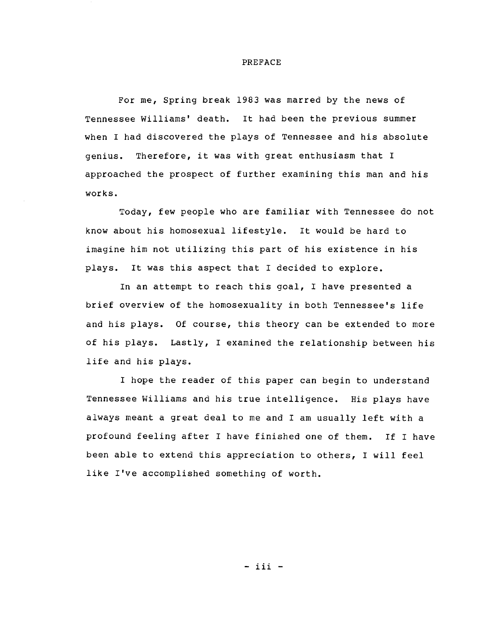## PREFACE

For me, Spring break 1983 was marred by the news of Tennessee Williams' death. It had been the previous summer when I had discovered the plays of Tennessee and his absolute genius. Therefore, it was with great enthusiasm that I approached the prospect of further examining this man and his works.

Today, few people who are familiar with Tennessee do not know about his homosexual lifestyle. It would be hard to imagine him not utilizing this part of his existence in his plays. It was this aspect that I decided to explore.

In an attempt to reach this goal, I have presented a brief overview of the homosexuality in both Tennessee's life and his plays. Of course, this theory can be extended to more of his plays. Lastly, I examined the relationship between his life and his plays.

I hope the reader of this paper can begin to understand Tennessee Williams and his true intelligence. His plays have always meant a great deal to me and I am usually left with a profound feeling after I have finished one of them. If I have been able to extend this appreciation to others, I will feel like I've accomplished something of worth.

- iii -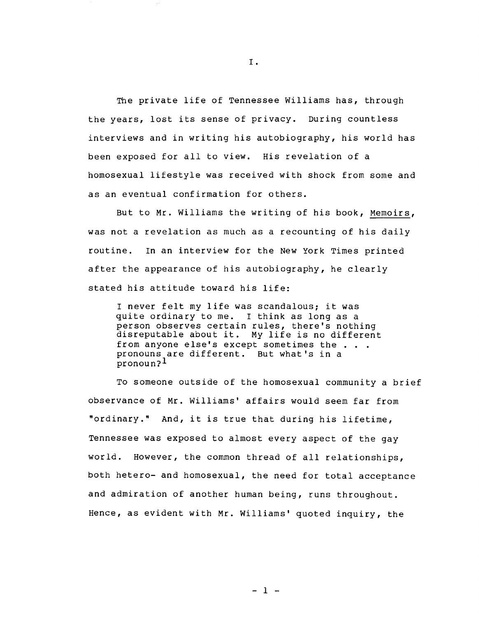The private life of Tennessee Williams has, through the years, lost its sense of privacy. During countless interviews and in writing his autobiography, his world has been exposed for all to view. His revelation of a homosexual lifestyle was received with shock from some and as an eventual confirmation for others.

But to Mr. Williams the writing of his book, Memoirs, was not a revelation as much as a recounting of his daily routine. In an interview for the New York Times printed after the appearance of his autobiography, he clearly stated his attitude toward his life:

I never felt my life was scandalous; it was quite ordinary to me. I think as long as a person observes certain rules, there's nothing person observes certain ruies, there's nothing<br>disreputable about it. My life is no different<br>from anyone else's except sometimes the . . . from anyone else's except sometimes the . .<br>pronouns are different. But what's in a pronoun?l

To someone outside of the homosexual community a brief observance of Mr. Williams' affairs would seem far from "ordinary." And, it is true that during his lifetime, Tennessee was exposed to almost every aspect of the gay world. However, the common thread of all relationships, both hetero- and homosexual, the need for total acceptance and admiration of another human being, runs throughout. Hence, as evident with Mr. Williams' quoted inquiry, the

I .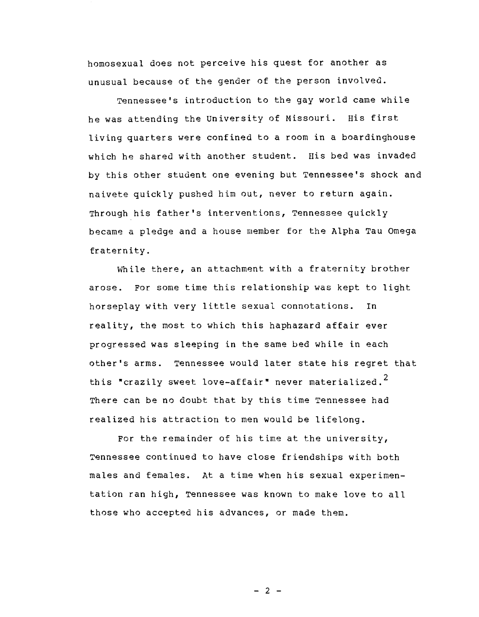homosexual does not perceive his quest for another as unusual because of the gender of the person involved.

Tennessee's introduction to the gay world came while he was attending the University of Missouri. His first living quarters were confined to a room in a boardinghouse which he shared with another student. His bed was invaded by this other student one evening but Tennessee's shock and naivete quickly pushed him out, never to return again. Through his father's interventions, Tennessee quickly became a pledge and a house member for the Alpha Tau Omega fraternity.

While there, an attachment with a fraternity brother arose. For some time this relationship was kept to light horseplay with very little sexual connotations. In reality, the most to which this haphazard affair ever progressed was sleeping in the same bed while in each other's arms. Tennessee would later state his regret that this "crazily sweet love-affair" never materialized.<sup>2</sup> There can be no doubt that by this time Tennessee had realized his attraction to men would be lifelong.

For the remainder of his time at the university, Tennessee continued to have close friendships with both males and females. At a time when his sexual experimentation ran high, Tennessee was known to make love to all those who accepted his advances, or made them.

 $- 2 -$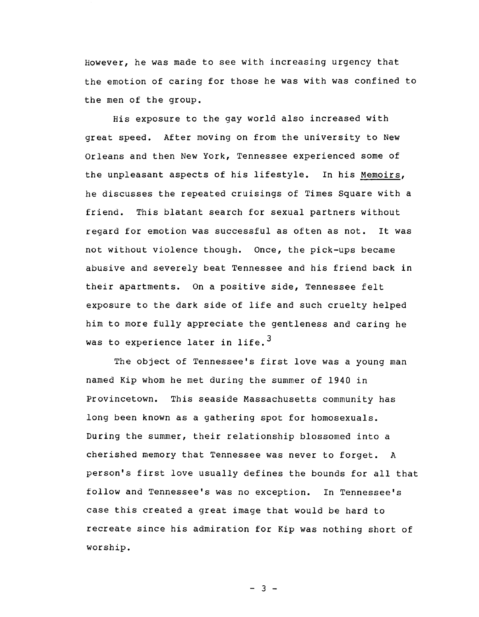However, he was made to see with increasing urgency that the emotion of caring for those he was with was confined to the men of the group.

His exposure to the gay world also increased with great speed. After moving on from the university to New Orleans and then New York, Tennessee experienced some of the unpleasant aspects of his lifestyle. In his Memoirs, he discusses the repeated cruisings of Times Square with a friend. This blatant search for sexual partners without regard for emotion was successful as often as not. It was not without violence though. Once, the pick-ups became abusive and severely beat Tennessee and his friend back in their apartments. On a positive side, Tennessee felt exposure to the dark side of life and such cruelty helped him to more fully appreciate the gentleness and caring he was to experience later in life.<sup>3</sup>

The object of Tennessee's first love was a young man named Kip whom he met during the summer of 1940 in Provincetown. This seaside Massachusetts community has long been known as a gathering spot for homosexuals. During the summer, their relationship blossomed into a cherished memory that Tennessee was never to forget. A person's first love usually defines the bounds for all that follow and Tennessee's was no exception. In Tennessee's case this created a great image that would be hard to recreate since his admiration for Kip was nothing short of worship.

 $- 3 -$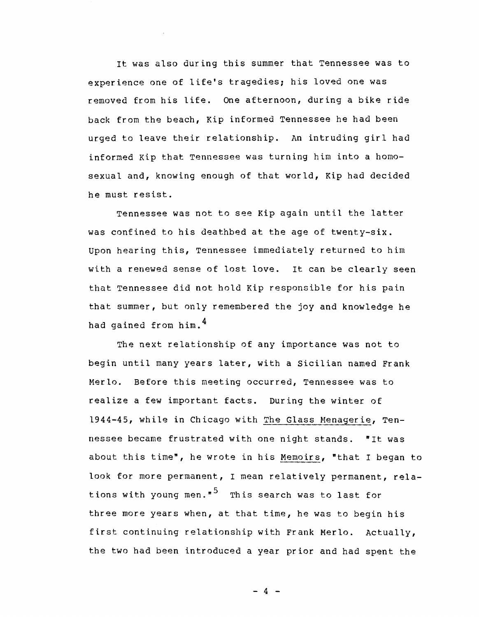It was also during this summer that Tennessee was to experience one of life's tragedies; his loved one was removed from his life. One afternoon, during a bike ride back from the beach, Kip informed Tennessee he had been urged to leave their relationship. An intruding girl had informed Kip that Tennessee was turning him into a homosexual and, knowing enough of that world, Kip had decided he must resist.

Tennessee was not to see Kip again until the latter was confined to his deathbed at the age of twenty-six. Upon hearing this, Tennessee immediately returned to him with a renewed sense of lost love. It can be clearly seen that Tennessee did not hold Kip responsible for his pain that summer, but only remembered the joy and knowledge he had gained from him.<sup>4</sup>

The next relationship of any importance was not to begin until many years later, with a Sicilian named Frank Merlo. Before this meeting occurred, Tennessee was to realize a few important facts. During the winter of 1944-45, while in Chicago with The Glass Menagerie, Tennessee became frustrated with one night stands. "It was about this time", he wrote in his Memoirs, "that I began to look for more permanent, I mean relatively permanent, relations with young men. $\frac{5}{10}$  This search was to last for three more years when, at that time, he was to begin his first continuing relationship with Frank Merlo. Actually, the two had been introduced a year prior and had spent the

 $- 4 -$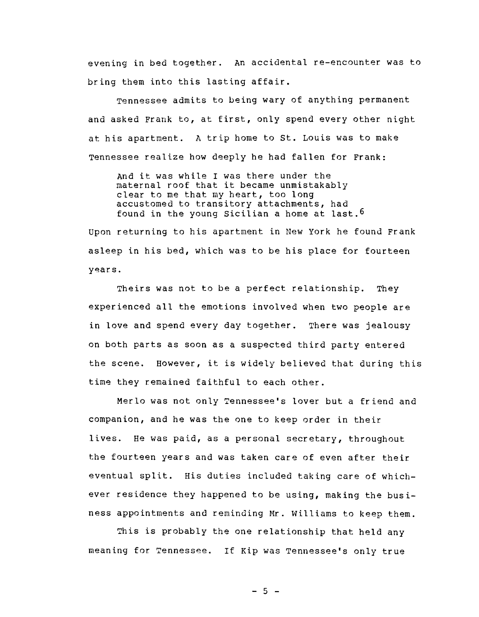evening in bed together. An accidental re-encounter was to bring them into this lasting affair.

Tennessee admits to being wary of anything permanent and asked Frank to, at first, only spend every other night at his apartment. A trip home to st. Louis was to make Tennessee realize how deeply he had fallen for Frank:

And it was while I was there under the maternal roof that it became unmistakably clear to me that my heart, too long accustomed to transitory attachments, had found in the young Sicilian a home at last.<sup>6</sup>

Upon returning to his apartment in New York he found Frank asleep in his bed, which was to be his place for fourteen y~ars.

Theirs was not to be a perfect relationship. They experienced all the emotions involved when two people are in love and spend every day together. There was jealousy on both parts as soon as a suspected third party entered the scene. However, it is widely believed that during this time they remained faithful to each other.

Merlo was not only Tennessee's lover but a friend and companion, and he was the one to keep order in their lives. He was paid, as a personal secretary, throughout the fourteen years and was taken care of even after their eventual split. His duties included taking care of whichever residence they happened to be using, making the business appointments and reminding Mr. Williams to keep them.

This is probably the one relationship that held any meaning for Tennessee. If Kip was Tennessee's only true

 $-5 -$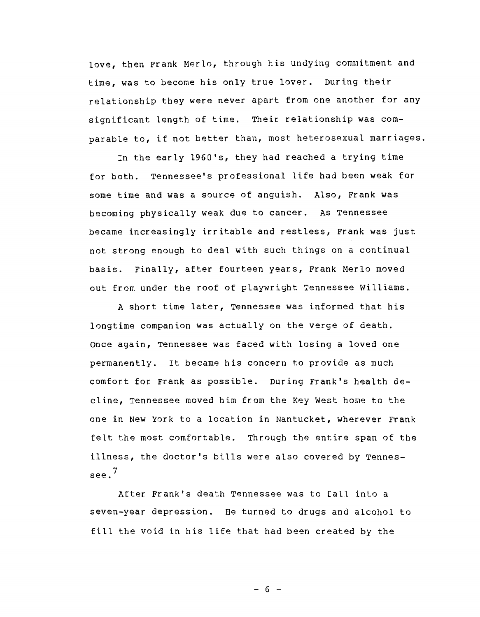love, then Frank Merlo, through his undying commitment and time, was to become his only true lover. During their relationship they were never apart from one another for any significant length of time. Their relationship was comparable to, if not better than, most heterosexual marriages.

In the early 1960's, they had reached a trying time for both. Tennessee's professional life had been weak for some time and was a source of anguish. Also, Frank was becoming physically weak due to cancer. As Tennessee became increasingly irritable and restless, Frank was just not strong enough to deal with such things on a continual basis. Finally, after fourteen years, Frank Merlo moved out from under the roof of playwright Tennessee Williams.

A short time later, Tennessee was informed that his longtime companion was actually on the verge of death. Once again, Tennessee was faced with losing a loved one permanently. It became his concern to provide as much comfort for Frank as possible. During Frank's health decline, Tennessee moved him from the Key West home to the one in New York to a location in Nantucket, wherever Frank felt the most comfortable. Through the entire span of the illness, the doctor's bills were also covered by Tennessee. <sup>7</sup>

After Frank's death Tennessee was to fall into a seven-year depression. He turned to drugs and alcohol to fill the void in his life that had been created by the

 $- 6 -$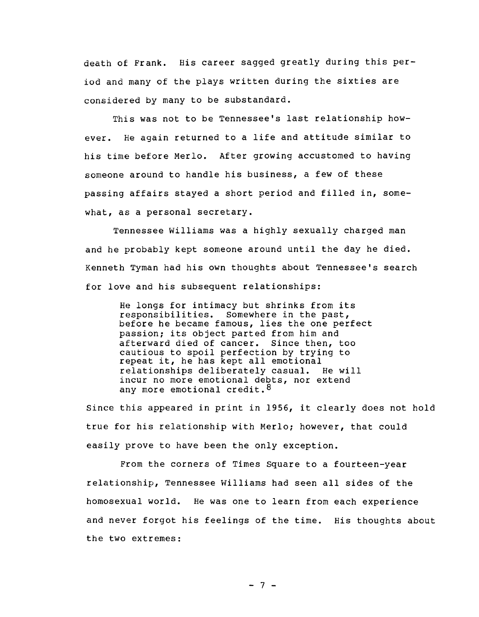death of Frank. His career sagged greatly during this period and many of the plays written during the sixties are considered by many to be substandard.

This was not to be Tennessee's last relationship however. He again returned to a life and attitude similar to his time before Merlo. After growing accustomed to having someone around to handle his business, a few of these passing affairs stayed a short period and filled in, somewhat, as a personal secretary.

Tennessee Williams was a highly sexually charged man and he probably kept someone around until the day he died. Kenneth Tyman had his own thoughts about Tennessee's search for love and his subsequent relationships:

> He longs for intimacy but shrinks from its responsibilities. Somewhere in the past, before he became famous, lies the one perfect passion; its object parted from him and afterward died of cancer. Since then, too cautious to spoil perfection by trying to repeat it, he has kept all emotional relationships deliberately casual. He will incur no more emotional debts, nor extend any more emotional credit.<sup>8</sup>

Since this appeared in print in 1956, it clearly does not hold true for his relationship with Merlo; however, that could easily prove to have been the only exception.

From the corners of Times Square to a fourteen-year relationship, Tennessee Williams had seen all sides of the homosexual world. He was one to learn from each experience and never forgot his feelings of the time. His thoughts about the two extremes:

 $- 7 -$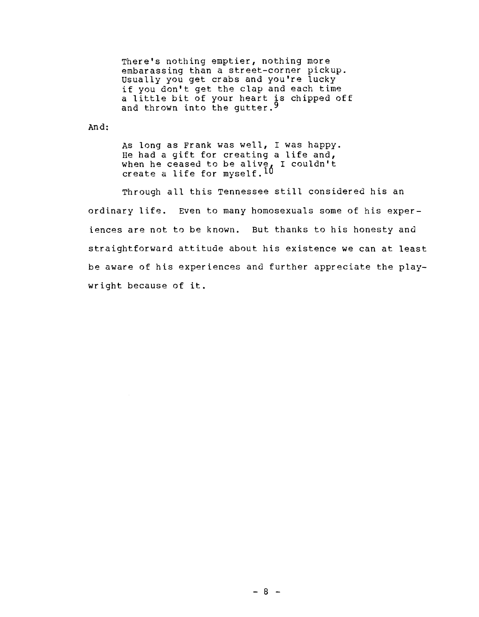There's nothing emptier, nothing more embarassing than a street-corner pickup. usually you get crabs and you're lucky if you don't get the clap and each time It you don't get the clap and each time<br>a little bit of your heart is chipped off and thrown into the gutter.<sup>9</sup>

And:

As long as Frank was well, I was happy. He had a gift for creating a life and, when he ceased to be alive, I couldn't<br>create a life for myself.<sup>10</sup>

Through all this Tennessee still considered his an ordinary life. Even to many homosexuals some of his experiences are not to be known. But thanks to his honesty and straightforward attitude about his existence we can at least be aware of his experiences and further appreciate the playwright because of it.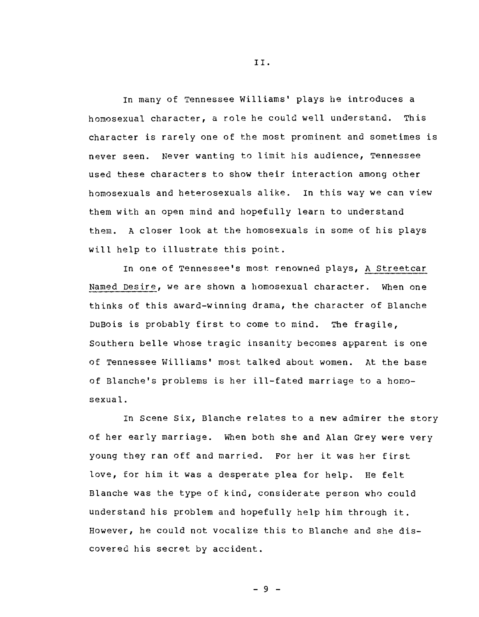In many of Tennessee Williams' plays he introduces a homosexual character, a role he could well understand. This character is rarely one of the most prominent and sometimes is never seen. Never wanting to limit his audience, Tennessee used these characters to show their interaction among other homosexuals and heterosexuals alike. In this way we can view them with an open mind and hopefully learn to understand them. A closer look at the homosexuals in some of his plays will help to illustrate this point.

In one of Tennessee's most renowned plays, A Streetcar Named Desire, we are shown a homosexual character. When one thinks of this award-winning drama, the character of Blanche DuBois is probably first to come to mind. The fragile, Southern belle whose tragic insanity becomes apparent is one of Tennessee Williams' most talked about women. At the base of Blanche's problems is her ill-fated marriage to a homosexual.

In Scene Six, Blanche relates to a new admirer the story of her early marriage. When both she and Alan Grey were very young they ran off and married. For her it was her first love, for him it was a desperate plea for help. He felt Blanche was the type of kind, considerate person who could understand his problem and hopefully help him through it. However, he could not vocalize this to Blanche and she discovered his secret by accident.

II.

 $-9 -$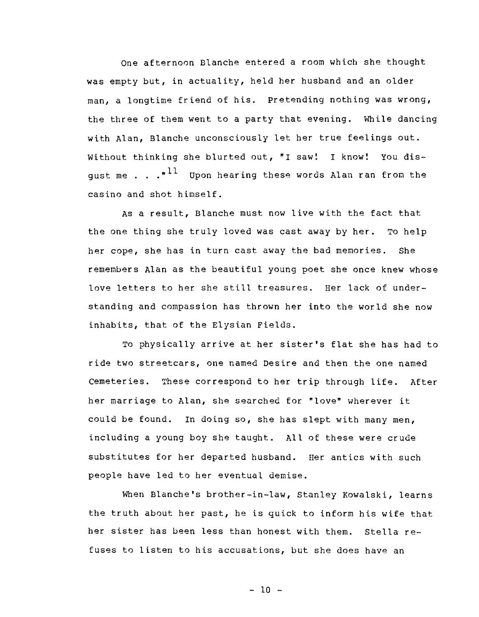One afternoon Blanche entered a room which she thought was empty but, in actuality, held her husband and an older man, a longtime friend of his. Pretending nothing was wrong, the three of them went to a party that evening. While dancing with Alan, Blanche unconsciously let her true feelings out. Without thinking she blurted out, "I saw! I know! You disgust me . . .<sup>"11</sup> Upon hearing these words Alan ran from the casino and shot himself.

As a result, Blanche must now live with the fact that the one thing she truly loved was cast away by her. To help her cope, she has in turn cast away the bad memories. She remembers Alan as the beautiful young poet she once knew whose love letters to her she still treasures. Her lack of understanding and compassion has thrown her into the world she now inhabits, that of the Elysian Fields.

To physically arrive at her sister's flat she has had to ride two streetcars, one named Desire and then the one named cemeteries. These correspond to her trip through life. After her marriage to Alan, she searched for "love" wherever it could be found. In doing so, she has slept with many men, including a young boy she taught. All of these were crude substitutes for her departed husband. Her antics with such people have led to her eventual demise.

When Blanche's brother-in-law, stanley Kowalski, learns the truth about her past, he is quick to inform his wife that her sister has been less than honest with them. Stella refuses to listen to his accusations, but she does have an

 $-10 -$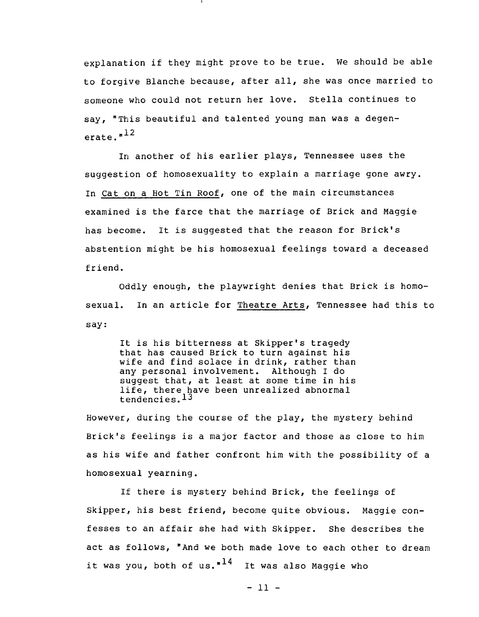explanation if they might prove to be true. We should be able to forgive Blanche because, after all, she was once married to someone who could not return her love. Stella continues to say, "This beautiful and talented young man was a degenerate.<sup>"12</sup>

In another of his earlier plays, Tennessee uses the suggestion of homosexuality to explain a marriage gone awry. In Cat on a Hot Tin Roof, one of the main circumstances examined is the farce that the marriage of Brick and Maggie has become. It is suggested that the reason for Brick's abstention might be his homosexual feelings toward a deceased friend.

Oddly enough, the playwright denies that Brick is homosexual. In an article for Theatre Arts, Tennessee had this to say:

It is his bitterness at Skipper's tragedy that has caused Brick to turn against his wife and find solace in drink, rather than any personal involvement. Although I do suggest that, at least at some time in his life, there have been unrealized abnormal tendencies. 13

However, during the course of the play, the mystery behind Brick's feelings is a major factor and those as close to him as his wife and father confront him with the possibility of a homosexual yearning.

If there is mystery behind Brick, the feelings of Skipper, his best friend, become quite obvious. Maggie confesses to an affair she had with Skipper. She describes the act as follows, "And we both made love to each other to dream it was you, both of us." $14$  It was also Maggie who

 $-11 -$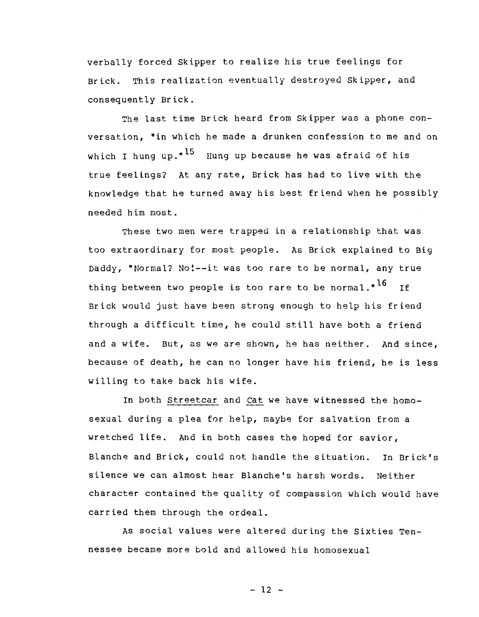verbally forced Skipper to realize his true feelings for Brick. This realization eventually destroyed Skipper, and consequently Brick.

The last time Brick heard from Skipper was a phone conversation, "in which he made a drunken confession to me and on which I hung up." $^{15}$  Hung up because he was afraid of his true feelings? At any rate, Brick has had to live with the knowledge that he turned away his best friend when he possibly needed him most.

These two men were trapped in a relationship that was too extraordinary for most people. As Brick explained to Big Daddy, "Normal? No!--it was too rare to be normal, any true thing between two people is too rare to be normal."<sup>16</sup> If Brick would just have been strong enough to help his friend through a difficult time, he could still have both a friend and a wife. But, as we are shown, he has neither. And since, because of death, he can no longer have his friend, he is less willing to take back his wife.

In both Streetcar and Cat we have witnessed the homosexual during a plea for help, maybe for salvation from a wretched life. And in both cases the hoped for savior, Blanche and Brick, could not handle the situation. In Brick's silence we can almost hear Blanche's harsh words. Neither character contained the quality of compassion which would have carried them through the ordeal.

As social values were altered during the Sixties Tennessee became more bold and allowed his homosexual

 $- 12 -$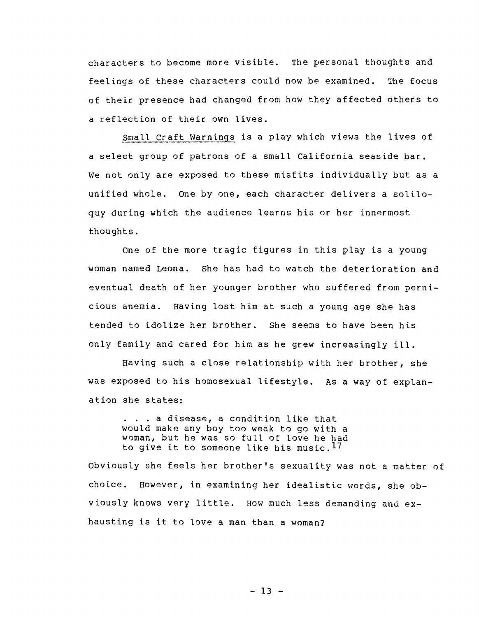characters to become more visible. The personal thoughts and feelings of these characters could now be examined. The focus of their presence had changed from how they affected others to a reflection of their own lives.

Small Craft Warnings is a play which views the lives of a select group of patrons of a small California seaside bar. We not only are exposed to these misfits individually but as a unified whole. One by one, each character delivers a soliloquy during which the audience learns his or her innermost thoughts.

One of the more tragic figures in this play is a young woman named Leona. She has had to watch the deterioration and eventual death of her younger brother who suffered from pernicious anemia. Having lost him at such a young age she has tended to idolize her brother. She seems to have been his only family and cared for him as he grew increasingly ill.

Having such a close relationship with her brother, she was exposed to his homosexual lifestyle. As a way of explanation she states:

. . . a disease, a condition like that would make any boy too weak to go with a woman, but he was so full of love he had to give it to someone like his music.<sup>17</sup>

Obviously she feels her brother's sexuality was not a matter of choice. However, in examining her idealistic words, she obviously knows very little. How much less demanding and exhausting is it to love a man than a woman?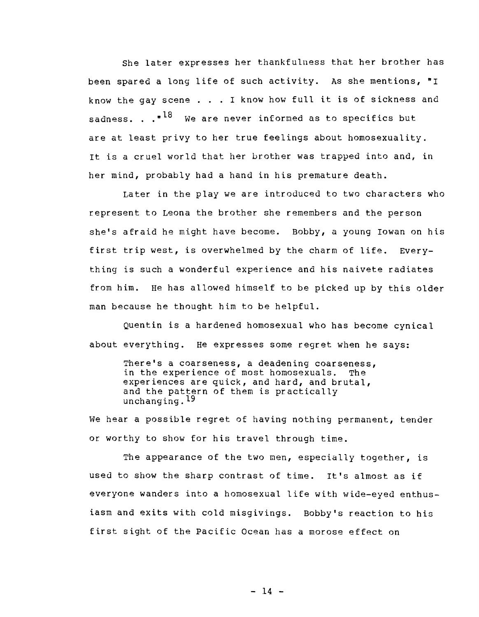She later expresses her thankfulness that her brother has been spared a long life of such activity. As she mentions, **"I**  know the gay scene . . . I know how full it is of sickness and sadness.  $\cdot$  .<sup>"18</sup> We are never informed as to specifics but are at least privy to her true feelings about homosexuality. It is a cruel world that her brother was trapped into and, in her mind, probably had a hand in his premature death.

Later in the play we are introduced to two characters who represent to Leona the brother she remembers and the person she's afraid he might have become. Bobby, a young Iowan on his first trip west, is overwhelmed by the charm of life. Everything is such a wonderful experience and his naivete radiates from him. He has allowed himself to be picked up by this older man because he thought him to be helpful.

Quentin is a hardened homosexual who has become cynical about everything. He expresses some regret when he says:

There's a coarseness, a deadening coarseness,<br>in the experience of most homosexuals. The in the experience of most homosexuals. experiences are quick, and hard, and brutal, and the pattern of them is practically unchanging. 19

We hear a possible regret of having nothing permanent, tender or worthy to show for his travel through time.

The appearance of the two men, especially together, is used to show the sharp contrast of time. It's almost as if everyone wanders into a homosexual life with wide-eyed enthusiasm and exits with cold misgivings. Bobby's reaction to his first sight of the Pacific Ocean has a morose effect on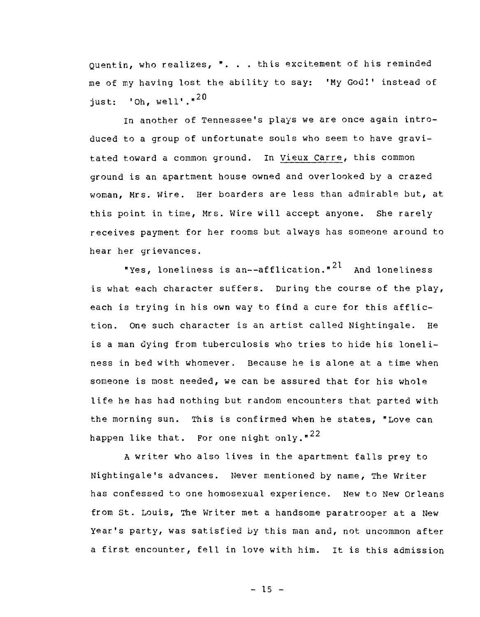Quentin, who realizes, **" .** .. this excitement of his reminded me of my having lost the ability to say: 'My God!' instead of just: 'Oh,  $well'.$ "<sup>20</sup>

In another of Tennessee's plays we are once again introduced to a group of unfortunate souls who seem to have gravitated toward a common ground. In Vieux carre, this common ground is an apartment house owned and overlooked by a crazed woman, Mrs. Wire. Her boarders are less than admirable but, at this point in time, Mrs. Wire will accept anyone. She rarely receives payment for her rooms but always has someone around to hear her grievances.

"Yes, loneliness is an--afflication." $^{21}$  And loneliness is what each character suffers. During the course of the play, each is trying in his own way to find a cure for this affliction. One such character is an artist called Nightingale. He is a man dying from tuberculosis who tries to hide his loneliness in bed with whomever. Because he is alone at a time when someone is most needed, we can be assured that for his whole life he has had nothing but random encounters that parted with the morning sun. This is confirmed when he states, "Love can happen like that. For one night only." $^{22}$ 

A writer who also lives in the apartment falls prey to Nightingale's advances. Never mentioned by name, The Writer has confessed to one homosexual experience. New to New Orleans from st. Louis, The Writer met a handsome paratrooper at a New year's party, was satisfied by this man and, not uncommon after a first encounter, fell in love with him. It is this admission

 $- 15 -$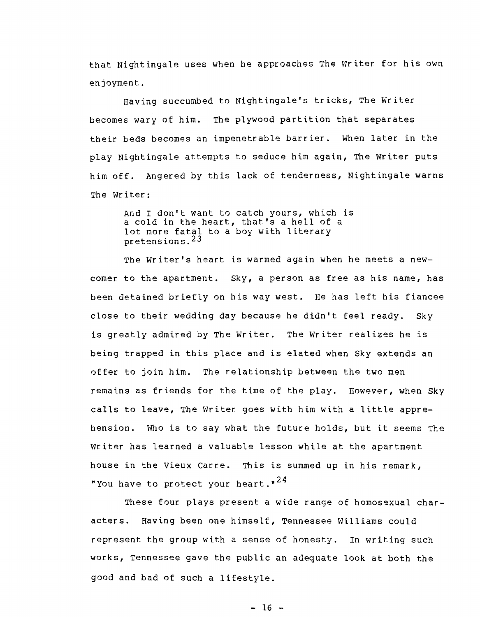that Nightingale uses when he approaches The Writer for his own enjoyment.

Having succumbed to Nightingale's tricks, The Writer becomes wary of him. The plywood partition that separates their beds becomes an impenetrable barrier. When later in the play Nightingale attempts to seduce him again, The Writer puts him off. Angered by this lack of tenderness, Nightingale warns The Writer:

And I don't want to catch yours, which is a cold in the heart, that's a hell of a lot more fatal to a boy with literary pretensions. 23

The Writer's heart is warmed again when he meets a newcomer to the apartment. Sky, a person as free as his name, has been detained briefly on his way west. He has left his fiancee close to their wedding day because he didn't feel ready. Sky is greatly admired by The Writer. The Writer realizes he is being trapped in this place and is elated when Sky extends an offer to join him. The relationship between the two men remains as friends for the time of the play. However, when Sky calls to leave, The Writer goes with him with a little apprehension. Who is to say what the future holds, but it seems The Writer has learned a valuable lesson while at the apartment house in the Vieux Carre. This is summed up in his remark, "You have to protect your heart." $^{24}$ 

These four plays present a wide range of homosexual characters. Having been one himself, Tennessee Williams could represent the group with a sense of honesty. In writing such works, Tennessee gave the public an adequate look at both the good and bad of such a lifestyle.

 $- 16 -$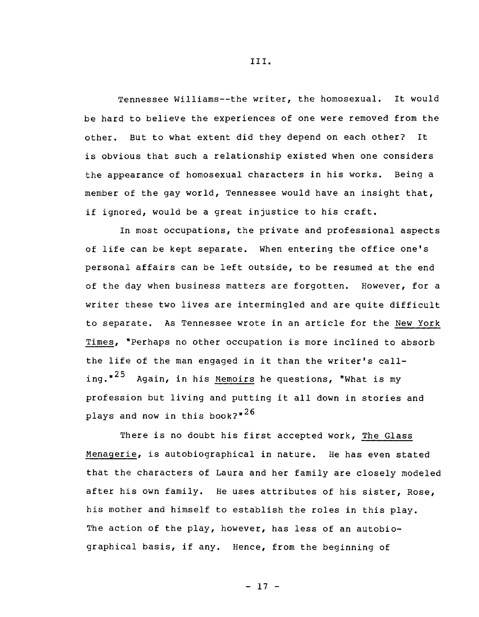Tennessee Williams--the writer, the homosexual. It would be hard to believe the experiences of one were removed from the other. But to what extent did they depend on each other? It is obvious that such a relationship existed when one considers the appearance of homosexual characters in his works. Being a member of the gay world, Tennessee would have an insight that, if ignored, would be a great injustice to his craft.

In most occupations, the private and professional aspects of life can be kept separate. When entering the office one's personal affairs can be left outside, to be resumed at the end of the day when business matters are forgotten. However, for a writer these two lives are intermingled and are quite difficult to separate. As Tennessee wrote in an article for the New York Times, "Perhaps no other occupation is more inclined to absorb the life of the man engaged in it than the writer's calling.<sup>"25</sup> Again, in his <u>Memoirs</u> he questions, "What is my profession but living and putting it all down in stories and plays and now in this book? $n^{26}$ 

There is no doubt his first accepted work, The Glass Menagerie, is autobiographical in nature. He has even stated that the characters of Laura and her family are closely modeled after his own family. He uses attributes of his sister, Rose, his mother and himself to establish the roles in this play. The action of the play, however, has less of an autobiographical basis, if any. Hence, from the beginning of

III.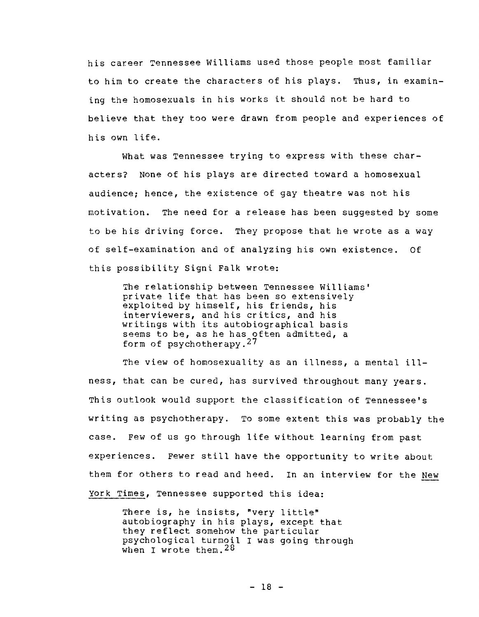his career Tennessee Williams used those people most familiar to him to create the characters of his plays. Thus, in examining the homosexuals in his works it should not be hard to believe that they too were drawn from people and experiences of his own life.

What was Tennessee trying to express with these characters? None of his plays are directed toward a homosexual audience; hence, the existence of gay theatre was not his motivation. The need for a release has been suggested by some to be his driving force. They propose that he wrote as a way of self-examination and of analyzing his own existence. Of this possibility 5igni Falk wrote:

The relationship between Tennessee Williams' private life that has been so extensively exploited by himself, his friends, his interviewers, and his critics, and his writings with its autobiographical basis seems to be, as he has often admitted, a form of psychotherapy.<sup>27</sup>

The view of homosexuality as an illness, a mental illness, that can be cured, has survived throughout many years. This outlook would support the classification of Tennessee's writing as psychotherapy. To some extent this was probably the case. Few of us go through life without learning from past experiences. Fewer still have the opportunity to write about them for others to read and heed. In an interview for the New york Times, Tennessee supported this idea:

There is, he insists, "very little" autobiography in his plays, except that they reflect somehow the particular psychological turmoil I was going through when I wrote them.  $28$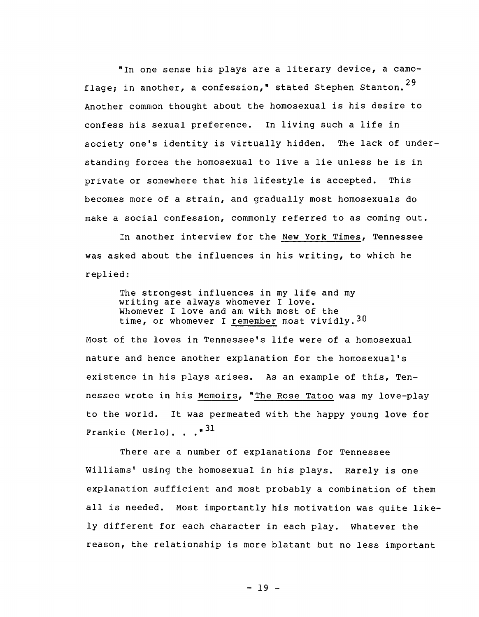"In one sense his plays are a literary device, a camoflage; in another, a confession," stated Stephen Stanton.  $29$ Another common thought about the homosexual is his desire to confess his sexual preference. In living such a life in society one's identity is virtually hidden. The lack of understanding forces the homosexual to live a lie unless he is in private or somewhere that his lifestyle is accepted. This becomes more of a strain, and gradually most homosexuals do make a social confession, commonly referred to as coming out.

In another interview for the New York Times, Tennessee was asked about the influences in his writing, to which he replied:

The strongest influences in my life and my writing are always whomever I love. Whomever I love and am with most of the time, or whomever I remember most vividly.<sup>30</sup>

Most of the loves in Tennessee's life were of a homosexual nature and hence another explanation for the homosexual's existence in his plays arises. As an example of this, Tennessee wrote in his Memoirs, "The Rose Tatoo was my love-play to the world. It was permeated with the happy young love for Frankie (Merlo)... $^{31}$ 

There are a number of explanations for Tennessee Williams' using the homosexual in his plays. Rarely is one explanation sufficient and most probably a combination of them all is needed. Most importantly his motivation was quite likely different for each character in each play. Whatever the reason, the relationship is more blatant but no less important

- 19 -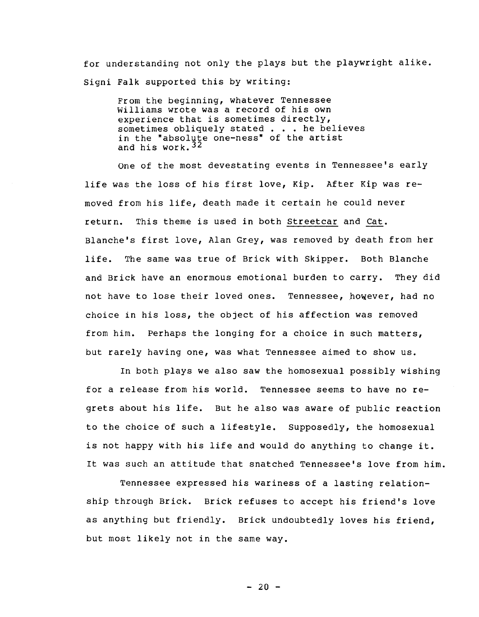for understanding not only the plays but the playwright alike. Signi Falk supported this by writing:

From the beginning, whatever Tennessee Williams wrote was a record of his own experience that is sometimes directly, sometimes obliquely stated . . . he believes in the "absolute one-ness" of the artist and his work.  $32$ 

One of the most devestating events in Tennessee's early life was the loss of his first love, Kip. After Kip was removed from his life, death made it certain he could never return. This theme is used in both streetcar and Cat. Blanche's first love, Alan Grey, was removed by death from her life. The same was true of Brick with Skipper. Both Blanche and Brick have an enormous emotional burden to carry. They did not have to lose their loved ones. Tennessee, however, had no choice in his loss, the object of his affection was removed from him. Perhaps the longing for a choice in such matters, but rarely having one, was what Tennessee aimed to show us.

In both plays we also saw the homosexual possibly wishing for a release from his world. Tennessee seems to have no regrets about his life. But he also was aware of public reaction to the choice of such a lifestyle. Supposedly, the homosexual is not happy with his life and would do anything to change it. It was such an attitude that snatched Tennessee's love from him.

Tennessee expressed his wariness of a lasting relationship through Brick. Brick refuses to accept his friend's love as anything but friendly. Brick undoubtedly loves his friend, but most likely not in the same way.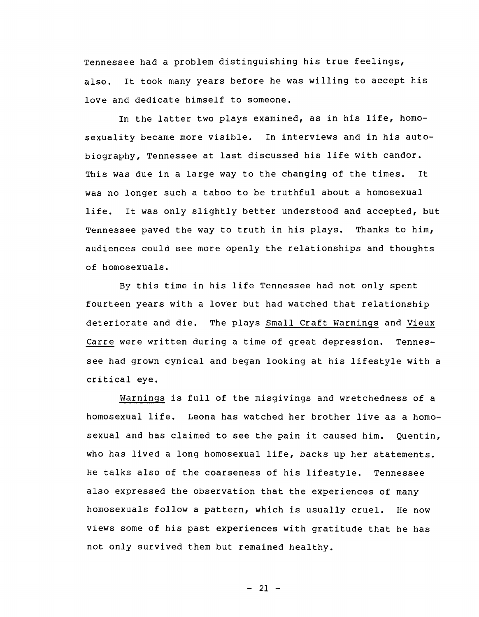Tennessee had a problem distinguishing his true feelings, also. It took many years before he was willing to accept his love and dedicate himself to someone.

In the latter two plays examined, as in his life, homosexuality became more visible. In interviews and in his autobiography, Tennessee at last discussed his life with candor. This was due in a large way to the changing of the times. It was no longer such a taboo to be truthful about a homosexual life. It was only slightly better understood and accepted, but Tennessee paved the way to truth in his plays. Thanks to him, audiences could see more openly the relationships and thoughts of homosexuals.

By this time in his life Tennessee had not only spent fourteen years with a lover but had watched that relationship deteriorate and die. The plays Small Craft Warnings and Vieux Carre were written during a time of great depression. Tennessee had grown cynical and began looking at his lifestyle with a critical eye.

Warnings is full of the misgivings and wretchedness of a homosexual life. Leona has watched her brother live as a homosexual and has claimed to see the pain it caused him. Quentin, who has lived a long homosexual life, backs up her statements. He talks also of the coarseness of his lifestyle. Tennessee also expressed the observation that the experiences of many homosexuals follow a pattern, which is usually cruel. He now views some of his past experiences with gratitude that he has not only survived them but remained healthy.

 $- 21 -$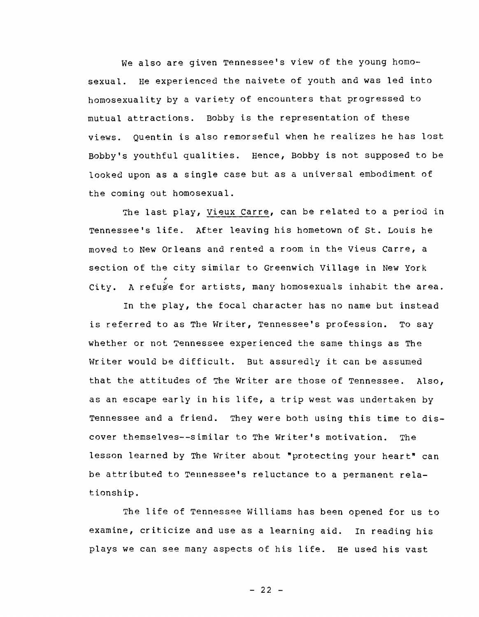We also are given Tennessee's view of the young homosexual. He experienced the naivete of youth and was led into homosexuality by a variety of encounters that progressed to mutual attractions. Bobby is the representation of these views. Quentin is also remorseful when he realizes he has lost Bobby's youthful qualities. Hence, Bobby is not supposed to be looked upon as a single case but as a universal embodiment of the coming out homosexual.

The last play, Vieux Carre, can be related to a period in Tennessee's life. After leaving his hometown of St. Louis he moved to New Orleans and rented a room in the Vieus Carre, a section of the city similar to Greenwich Village in New York ~ City. A refuge for artists, many homosexuals inhabit the area.

In the play, the focal character has no name but instead is referred to as The Writer, Tennessee's profession. To say whether or not 7ennessee experienced the same things as The Writer would be difficult. But assuredly it can be assumed that the attitudes of 7he Writer are those of Tennessee. Also, as an escape early in his life, a trip west was undertaken by Tennessee and a friend. They were both using this time to discover themselves--similar to The Writer's motivation. The lesson learned by The Writer about "protecting your heart" can be attributed to Tennessee's reluctance to a permanent relationship.

The life of Tennessee Williams has been opened for us to examine, criticize and use as a learning aid. In reading his plays we can see many aspects of his life. He used his vast

 $- 22 -$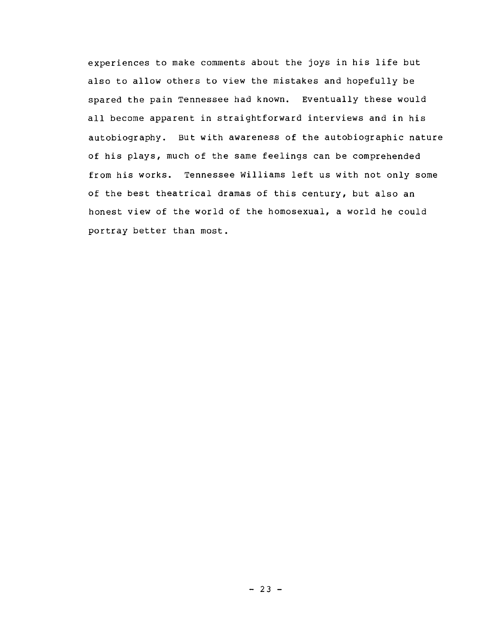experiences to make comments about the joys in his life but also to allow others to view the mistakes and hopefully be spared the pain Tennessee had known. Eventually these would all become apparent in straightforward interviews and in his autobiography. But with awareness of the autobiographic nature of his plays, much of the same feelings can be comprehended from his works. Tennessee Williams left us with not only some of the best theatrical dramas of this century, but also an honest view of the world of the homosexual, a world he could portray better than most.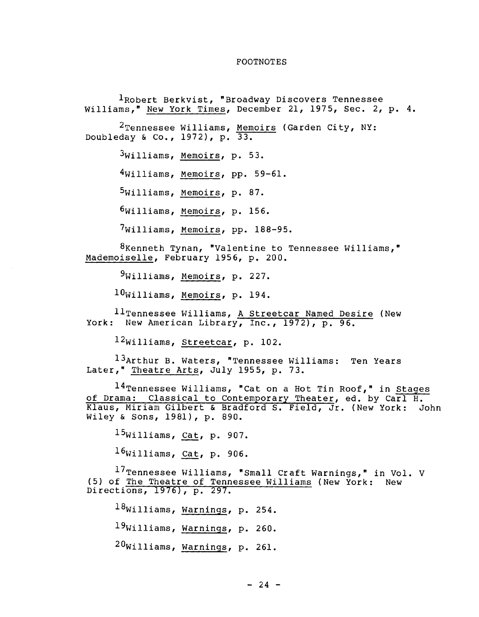## FOOTNOTES

lRobert Berkvist, "Broadway Discovers Tennessee Williams," New York Times, December 21, 1975, Sec. 2, p. 4.  $^2$ Tennessee Williams, <u>Memoirs</u> (Garden City, NY: Doubleday & Co., 1972), p. 33. 3Williams, Memoirs, p. 53. 4Williams, Memoirs, pp. 59-61. 5williams, Memoirs, p. 87. 6williams, Memoirs, p. 156. 7Williams, Memoirs, pp. 188-95. 8Kenneth Tynan, "Valentine to Tennessee Williams," Mademoiselle, February 1956, p. 200. 9Williams, Memoirs, p. 227.  $10$ Williams, Memoirs, p. 194.  $11$ Tennessee Williams, <u>A Streetcar Named Desire</u> (New York: New American Library, Inc., 1972), p. 96.

l2williams, Streetcar, p. 102.

13Arthur B. Waters, "Tennessee Williams: Ten Years Later," Theatre Arts, July 1955, p. 73.

l4Tennessee Williams, "Cat on a Hot Tin Roof," in Stages of Drama: Classical to Contemporary Theater, ed. by Carl H. Klaus, Miriam Gilbert & Bradford S. Field, Jr. (New York: John Wiley & Sons, 1981), p. 890.

15williams, Cat, p. 907.

 $16$ Williams, Cat, p. 906.

 $^{17}$ Tennessee Williams, "Small Craft Warnings," in Vol. V (5) of The Theatre of Tennessee Williams (New York: New birections, 1976), p. 297.

 $18$ Williams, Warnings, p. 254. 19williams, Warnings, p. 260. 20Williams, Warnings, p. 261.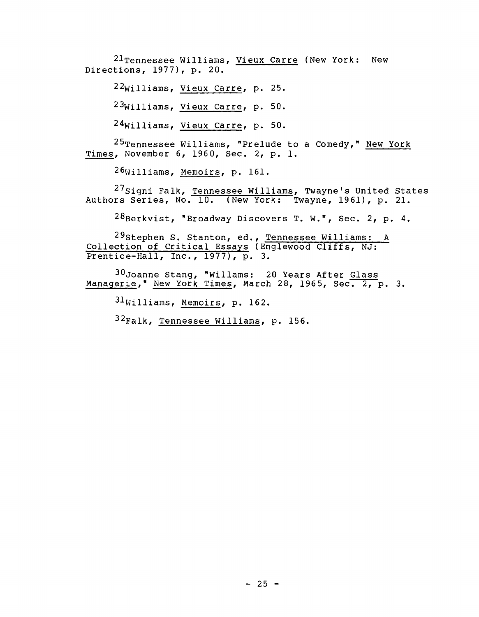21Tennessee Williams, Vieux Carre (New York: New Directions, 1977), p. 20.

22williams, Vieux Carre, p. 25.

23Williams, Vieux Carre, p. 50.

24williams, Vieux Carre, p. 50.

 $25$ Tennessee Williams, "Prelude to a Comedy," New York Times, November 6, 1960, Sec. 2, p. 1.

26Williams, Memoirs, p. 161.

27<sub>Signi</sub> Falk, <u>Tennessee Williams</u>, Twayne's United States Authors Series, No. 10. (New York: Twayne, 1961), p. 21.

 $^{28}$ Berkvist, "Broadway Discovers T. W.", Sec. 2, p. 4.

29stephen S. Stanton, ed., Tennessee Williams: A Collection of Critical Essays (Englewood Cliffs, NJ: Prentice-Hall, Inc.,  $1977$ ,  $p. 3.$ 

30Joanne Stang, "Willams: 20 Years After Glass Managerie," New York Times, March 28, 1965, Sec. 2, p. 3.

 $31$ Williams, Memoirs, p. 162.

 $32$ Falk, Tennessee Williams, p. 156.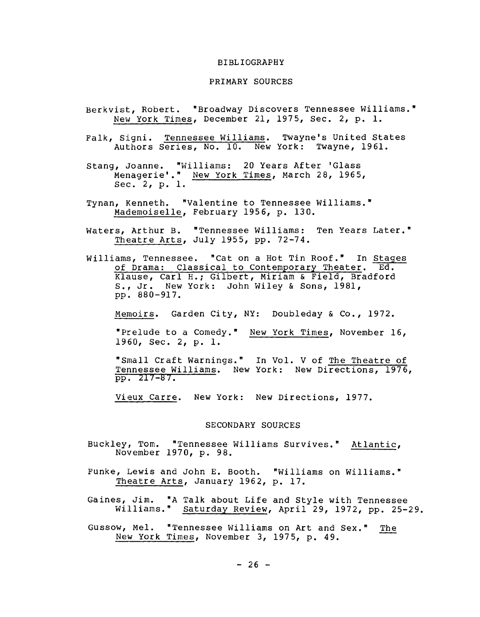#### BIBLIOGRAPHY

#### PRIMARY SOURCES

- Berkvist, Robert. "Broadway Discovers Tennessee Williams." New York Times, December 21, 1975, Sec. 2, p. 1.
- Falk, Signi. Tennessee Williams. Twayne's United States Authors Series, No. 10. New York: Twayne, 1961.
- Stang, Joanne. "Williams: 20 Years After 'Glass Menagerie'." New York Times, March 28, 1965, Sec. 2, p. 1.
- Tynan, Kenneth. "Valentine to Tennessee Williams." Mademoiselle, February 1956, p. 130.
- Waters, Arthur B. "Tennessee Williams: Ten Years Later." Theatre Arts, July 1955, pp. 72-74.
- Williams, Tennessee. "Cat on a Hot Tin Roof." In Stages of Drama: Classical to Contemporary Theater. Ed. Klause, Carl H.; Gilbert, Miriam & Field, Bradford S., Jr. New York: John Wiley & Sons, 1981, pp. 880-917.

Memoirs. Garden City, NY: Doubleday & Co., 1972.

"Prelude to a Comedy." New York Times, November 16, 1960, Sec. 2, p. 1.

"Small Craft Warnings." In Vol. V of The Theatre of Tennessee Williams. New York: New Directions, 1976, pp. 217-87.

Vieux Carre. New York: New Directions, 1977.

### SECONDARY SOURCES

- Buckley, Tom. "Tennessee Williams Survives." Atlantic, November 1970, p. 98.
- Funke, Lewis and John E. Booth. "Williams on Williams." Theatre Arts, January 1962, p. 17.
- Gaines, Jim. "A Talk about Life and Style with Tennessee Williams." Saturday Review, April 29, 1972, pp. 25-29.
- Gussow, Mel. "Tennessee Williams on Art and Sex." The New York Times, November 3, 1975, p. 49.